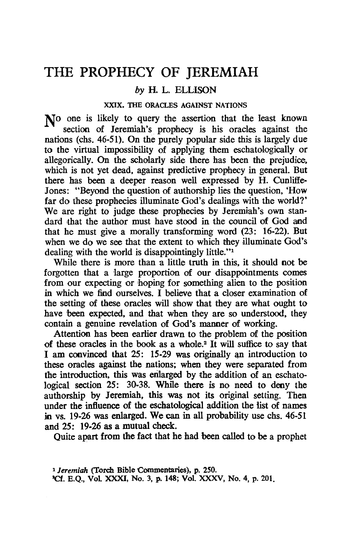# **THE PROPHECY OF JEREMIAH**

### *by* H. L. ELLISON

#### XXIX. THE ORACLES AGAINST NATIONS

No one is likely to query the assertion that the least known section of Jeremiah's prophecy is his oracles against the nations (chs. 46-51). On the purely popular side this is largely due to the virtual impossibility of applying them eschatologically or allegorically. On the scholarly side there has been the prejudice. which is not yet dead, against predictive prophecy in general. But there has been a deeper reason well expressed by H. Cunliffe-Jones: "Beyond the question of authorship lies the question, 'How far do these prophecies illuminate God's dealings with the world?' We are right to judge these prophecies by Jeremiah's own standard that the author must have stood in the council of God and that he must give a morally transforming word (23: 16-22). But when we do we see that the extent to which they illuminate God's dealing with the world is disappointingly little."<sup>1</sup>

While there is more than a little truth in this, it should not be forgotten that a 'large proportion of our disappointments comes from our expecting or hoping for something alien to the position in which we find ourselves. I believe that a closer examination of the setting of these oracles will show that they are what ought to have been expected, and that when they are so understood, they contain a genuine revelation of God's manner of working.

Attention has been earlier drawn to the problem of the position of these oracles in the book as a whole.2 It will suffice 10 say that I am coovinced that 25: 15-29 was originally an introduction to these oracles against the nations; when they were separated from the introduction, this was enlarged by the addition of an eschatological section 25: 30-38. While there is no need to deny the authorship by Jeremiah. this was not its original setting. Then under the influence of the eschatological addition the list of names in vs. 19-26 was enlarged. We can in all probability use chs. 46-51 and 25: 19-26 as a mutual check.

Quite apart from the fact that he had been called to be a prophet

<sup>1</sup>Jeremiah (Torch Bible Commentaries). p. 250. 'Cf. E.Q .• Vol XXXI, No. 3, p. 148; Vol. XXXV. No. 4, p. 201.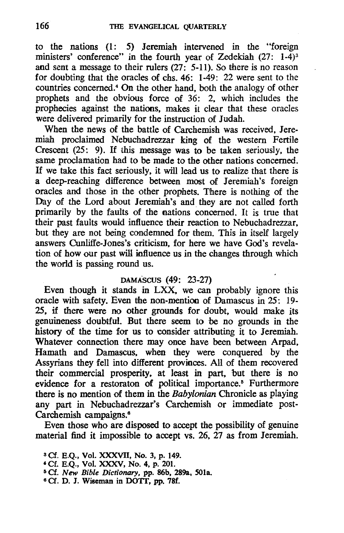to the nations (1 : 5) Jeremiah intervened in the "foreign ministers' conference" in the fourth year of Zedekiah (27: 1-4)<sup>3</sup> and sent a message to their rulers (27: 5-11). So there is no reason for doubting that the oracles of chs. 46: 1-49: 22 were sent to the countries concerned.4 On the other hand, both the analogy of other prophets and the obvious force of 36: 2, which includes the prophecies against the nations, makes it clear that these oracles were delivered primarily for the instruction of Judah.

When the news of the battle of Carchemish was received, Jeremiah proclaimed Nebuchadrezzar king of the western Fertile Crescent (25: 9). If this message was to be taken seriously, the same proclamation had to be made to the other nations concerned. If we take this fact seriously, it will lead us to realize that there is a deep-reaching difference between most of Jeremiah's foreign oracles and those in the other prophets. There is nothing of the Day of the Lord about Jeremiah's and they are not called forth primarily by the faults of the nations concerned. It is true that their past faults would influence their reaction to Nebuchadrezzar, but they are not being condemned for them. This in itself largely answers Cunliffe-Jones's criticism, for here we have God's revelation of how our past will influence us in the changes through which the world is passing round us.

#### DAMASCUS (49: 23-27)

Even though it stands in LXX, we can probably ignore this oracle with safety. Even the non-mention of Damascus in 25: 19- 25, if there were no other grounds for doubt, would make its genuineness doubtful. But there seem to be no grounds in the history of the time for us to consider attributing it to Jeremiah. Whatever connection there may once have been between Arpad, Hamath and Damascus, when they were conquered by the Assyrians they fell into different provinces. All of them recovered their commercial prosperity, at least in part, but there is no evidence for a restoraton of political importance.<sup>5</sup> Furthermore there is no mention of them in the *Babylonian* Chronicle as playing any part in Nebuchadrezzar's Carchemish or immediate post-Carchemish campaigns.<sup>6</sup>

Even those who are disposed to accept the possibility of genuine material find it impossible to accept vs. 26, 27 as from Jeremiah.

<sup>6</sup> Cf. D. J. Wiseman in DOTT, pp. 78f.

<sup>8</sup> Cf. E.Q., Vol. XXXVII, No. 3, p. 149.

<sup>4</sup> Cf. E.Q., Vol. XXXV, No. 4, p. 201.

<sup>5</sup> Cf. *New Bible Dictionary,* pp. 86b, 289a. SOla.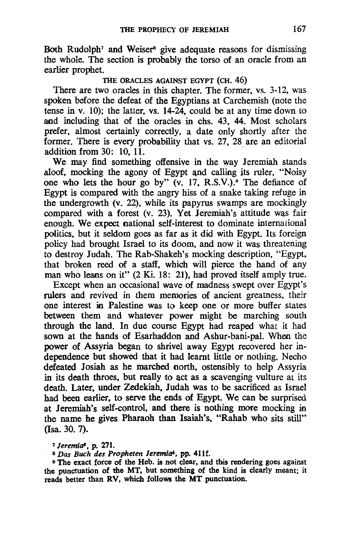Both Rudolph<sup>7</sup> and Weiser<sup>8</sup> give adequate reasons for dismissing the whole. The section is probably the torso of an oracle from an earlier prophet.

#### THE ORACLES AGAINST EGYPT (CH. 46)

There are two oracles in this chapter. The former, vs. 3-12, was spoken before the defeat of the Egyptians at Carchemish (note the tense in v. 10); the latter, vs. 14-24, could be at any time down to and including that of the oracles in chs. 43, 44. Most scholars prefer, almost certainly correctly, a date only shortly after the former. There is every probability that vs. 27, 28 are an editorial addition from  $30:10.11$ .

We may find something offensive in the way Jeremiah stands aloof, mocking the agony of Egypt and calling its ruler, "Noisy" one who lets the hour go by" (v. 17. R.S.V.)." The defiance of Egypt is compared with the angry hiss of a snake taking refuge in the undergrowth (v. 22). while its papyrus swamps are mockingly compared with a forest (v. 23). Yet Jeremiah's attitude was fair enough. We expect national self-interest to dominate international politics. but it seldom goes as far as it did with Egypt. Its foreign policy had brought Israel to its doom. and now it was threatening to destroy Judah. The Rab-Shakeh's mocking description. "Egypt. that broken reed of a staff. which will pierce the hand of any man who leans on it" (2 Ki. 18: 21), had proved itself amply true.

Except when an occasional wave of madness swept over Egypt's rulers and revived in them memories of ancient greatness, their one interest in Palestine was to keep one or more buffer states between them and whatever power might be marching south through the land. In due course Egypt had reaped what it had sown at the hands of Esarhaddon and Ashur-bani-pal. When the power of Assyria began to shrivel away Egypt recovered her independence but showed that it had learnt little or nothing. Necho defeated Josiah as he marched north. ostensibly to help Assyria in its death throes. but really to act as a scavenging vulture at its death. Later, under Zedekiah. Judah was to be sacrificed as Israel had been earlier. to serve the ends of Egypt. We. can be surprised at Jeremiah's self-control. and there is nothing more mocking in the name he gives Pharaoh than Isaiah's. "Rahab who sits still" (lsa. 30. 7).

*7 Jeremia<sup>t</sup>*, p. 271.<br><sup>8</sup> *Das Buch des Propheten Jeremia<sup>t</sup>*, pp. 411f.<br><sup>9</sup> The exact force of the Heb. is not clear, and this rendering goes against the punctuation of the MT. but something of the kind is clearly meant; it reads better than RV, which follows the MT punctuation.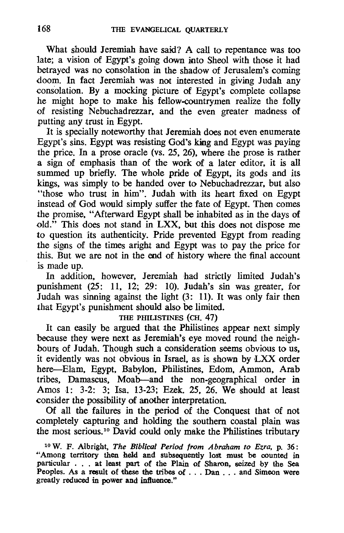What should Jeremiah have said? A call to repentance was too late; a vision of Egypt's going down into Sheol with those it had betrayed was no consolation in the shadow of Jerusalem's coming doom. In fact Jeremiah was not interested in giving Judah any consolation. By a mocking picture of Egypt's complete collapse he might hope to make his fellow-countrymen realize the folly of resisting Nebuchadrezzar, and the even greater madness of putting any trust in Egypt.

It is specially noteworthy that Jeremiah does not even enumerate Egypt's sins. Egypt was resisting God's king and Egypt was paying the price. In a prose oracle (vs. 25, 26), where the prose is rather a sign of emphasis than of the work of a later editor, it is all summed up briefly. The whole pride of Egypt, its gods and its kings, was simply to be handed over to Nebuchadrezzar, but also "those who trust in him". Judah with its heart fixed on Egypt instead of God would simply suffer the fate of Egypt. Then comes the promise, "Afterward Egypt shall be inhabited as in the days of old." This does not stand in LXX, but this does not dispose me to question its authenticity. Pride prevented Egypt from reading the signs of the times aright and Egypt was to pay the price for this. But we are not in the end of history where the final account is made up.

In addition, however, Jeremiah had strictly limited Judah's punishment (25: 11, 12; 29: 10). Judah's sin was greater, for Judah was sinning against the light (3: 11). It was only fair then that Egypt's punishment should also be limited.

### THE PHILISTINES (CH. 47)

It can easily be argued that the Philistines appear next simply because they were next as Jeremiah's eye moved round the neighbours of Judah. Though such a consideration seems obvious to us, it evidently was not obvious in Israel, as is shown by LXX order here-Elam, Egypt, Babylon, Philistines, Edom, Ammon, Arab tribes, Damascus, Moab-and the non-geographical order in Amos 1: 3-2: 3; Isa. 13-23; Ezek. 25, 26. We should at least consider the possibility of another interpretation.

Of all the failures in the period of the Conquest that of not completely capturing and holding the southern coastal plain was the most serious.<sup>10</sup> David could only make the Philistines tributary

10 W. F. Albright, *The Biblical Period from Abraham to Ezra,* p. 36: "Among territory then held and subsequently lost must be counted in particular . . . at least part of the Plain of Sharon, seized by the Sea Peoples. As a result of these the tribes of . . . Dan . . . and Simeon were greatly reduced in power and influence."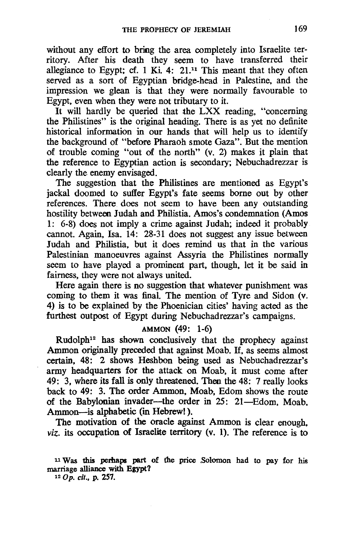without any effort to bring the area completely into Israelite territory. After his death they seem to have transferred their allegiance to Egypt; cf. 1 Ki. 4:  $21^{11}$  This meant that they often served as a sort of Egyptian bridge-head in Palestine. and the impression we glean is that they were normally favourable to Egypt. even when they were not tributary to it.

It will hardly be queried that the LXX reading. "concerning the Philistines" is the original heading. There is as yet no definite historical information in our hands that will help us to identify the background of "before Pharaoh smote Gaza". But the mention of trouble coming "out of the north" (v. 2) makes it plain that the reference to Egyptian action is secondary; Nebuchadrezzar is clearly the enemy envisaged.

The suggestion that the Philistines are mentioned as Egypt's jackal doomed to suffer Egypt's fate seems borne out by other references. There does not seem to have been any outstanding hostility between Judah and Philistia. Amos's condemnation (Amos 1: 6-8) does not imply a crime against Judah; indeed it probably cannot. Again. Isa. 14: 28-31 does not suggest any issue between Judah and Philistia. but it does remind us that in the various Palestinian manoeuvres against Assyria the Philistines normally seem to have played a prominent part. though. let it be said in fairness, they were not always united.

Here again there is no suggestion that whatever punishment was coming to them it was final. The mention of Tyre and Sidon (v. 4) is to be explained by the Phoenician cities' having acted as the furthest outpost of Egypt during Nebuchadrezzar's campaigns.

# AMMON (49: 1-6)

Rudolph12 has shown conclusively that the prophecy against Ammon originally preceded that against Moab. If. as seems almost certain, 48: 2 shows Heshbon being used as Nebuchadrezzar's army headquarters for the attack on Moab, it must come after 49: 3. where its fall is only threatened. Then the 48: 7 really looks back to 49: 3. The order Ammon. Moab. Edom shows the route of the Babylonian invader-the order in 25: 21-Edom. Moab. Ammon-is alphabetic (in Hebrew!).

The motivation of the oracle against Ammon is clear enough. *viz.* its occupation of Israelite territory (v. 1). The reference is to

#### II Was this perhaps part of the price ,Solomon had to pay for his marriage alliance with Egypt?

120p. *cit.,* p. 257.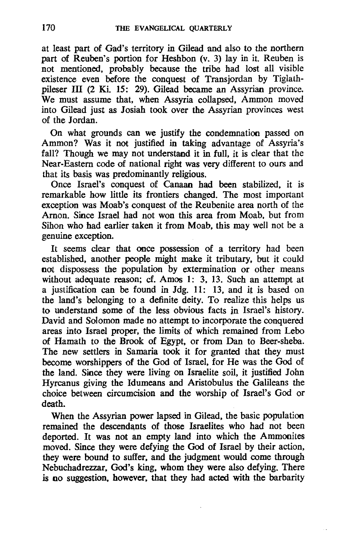at least part of Gad's territory in Gilead and also to the northern part of Reuben's portion for Heshbon (v. 3) lay in it. Reuben is not mentioned, probably because the tribe had lost all visible existence even before the conquest of Transjordan by Tiglathpileser III (2 Ki. 15: 29). Gilead became an Assyrian province. We must assume that, when Assyria collapsed, Ammon moved into Gilead just as Josiah took over the Assyrian provinces west of the Jordan.

On what grounds can we justify the condemnation passed on Ammon? Was it not justified in taking advantage of Assyria's fall? Though we may not understand it in full, it is clear that the Near-Eastern code of national right was very different to ours and that its basis was predominantly religious.

Once Israel's conquest of Canaan had been stabilized, it is remarkable how little its frontiers changed. The most important exception was Moab's conquest of the Reubenite area north of the Arnon. Since Israel had not won this area from Moab. but from Sihon who had earlier taken it from Moab, this may well not be a genuine exception.

It seems clear that once possession of a territory had been established. another people might make it tributary. but it could not dispossess the population by extermination or other means without adequate reason; cf. Amos 1: 3, 13. Such an attempt at a justification can be found in Jdg. 11: 13. and it is based on the land's belonging to a definite deity. To realize this helps us to understand some of the less obvious facts in Israel's history. David and Solomon made no attempt to incorporate the conquered areas into Israel proper. the limits of which remained from Lebo of Hamath to the Brook of Egypt. or from Dan to Beer-sheba. The new settlers in Samaria took it for granted that they must become worshippers of the God of Israel. for He was the God of the land. Since they were living on Israelite soil, it justified John Hyrcanus giving the Idumeans and Aristobulus the Galileans the choice between circumcision and the worship of Israel's God or death.

When the Assyrian power lapsed in Gilead. the basic population remained the descendants of those Israelites who had not been deported. It was not an empty land into which the Ammonites moved. Since they were defying the God of Israel by their action, they were bound to suffer. and the judgment would come through Nebuchadrezzar, God's king. whom they were also defying. There is no suggestion, however. that they had acted with the barbarity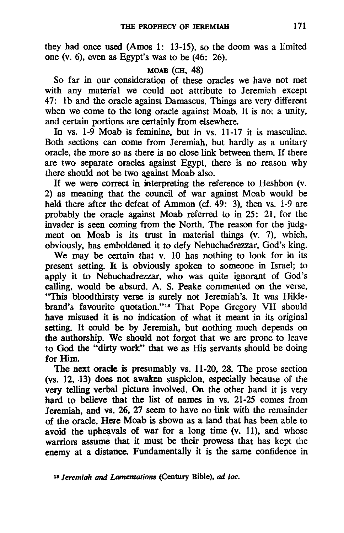they had once used (Amos 1: 13-15). so the doom was a limited one (v. 6). even as Egypt's was to be (46: 26).

### MOAB (CH, 48)

So far in our consideration of these oracles we have not met with any material we could not attribute to Jeremiah except 47: Ib and the oracle against Damascus. Things are very different when we come to the long oracle against Moab. It is not a unity, and certain portions are certainly from elsewhere.

In vs. 1-9 Moab is feminine. but in vs. 11-17 it is masculine. Both sections can come from Jeremiah. but hardly as a unitary oracle. the more so as there is no close link between them. If there are two separate oracles against Egypt, there is no reason why there should not be two against Moab also.

If we were correct in interpreting the reference to Heshbon (v. 2) as meaning that the council of war against Moab would be held there after the defeat of Ammon (cf. 49: 3), then vs. 1-9 are probably the oracle against Moab referred to in 25: 21. for the invader is seen coming from the North. The reason for the judgment on Moab is its trust in material things (v. 7), which, obviously. has emboldened it to defy Nebuchadrezzar, God's king.

We may be certain that v. 10 has nothing to look for in its present setting. It is obviously spoken to someone in Israel; to apply it to Nebuchadrezzar. who was quite ignorant of God's calling, would be absurd. A. S. Peake commented on the verse, "This bloodthirsty verse is surely not Jeremiah's. It was Hildebrand's favourite quotation."13 That Pope Gregory VII should have misused it is no indication of what it meant in its original setting. It could be by Jeremiah, but nothing much depends on the authorship. We should not forget that we are prone to leave to God the "dirty work" that we as His servants should be doing for Him.

The next oracle is presumably vs. 11-20. 28. The prose section (vs. 12, 13) does not awaken suspicion, especially because of the very telling verbal picture involved. On the other hand it is very hard to believe that the list of names in vs. 21-25 comes from Jeremiah, and vs. 26. 27 seem to have no link with the remainder of the oracle. Here Moab is shown as a land that has been able to avoid the upheavals of war for a long time (v. 11), and whose warriors assume that it must be their prowess that has kept the enemy at a distance. Fundamentally it is the same confidence in

18 *Jeremiah and Lamentations* (Century Bible), *ad loc.*